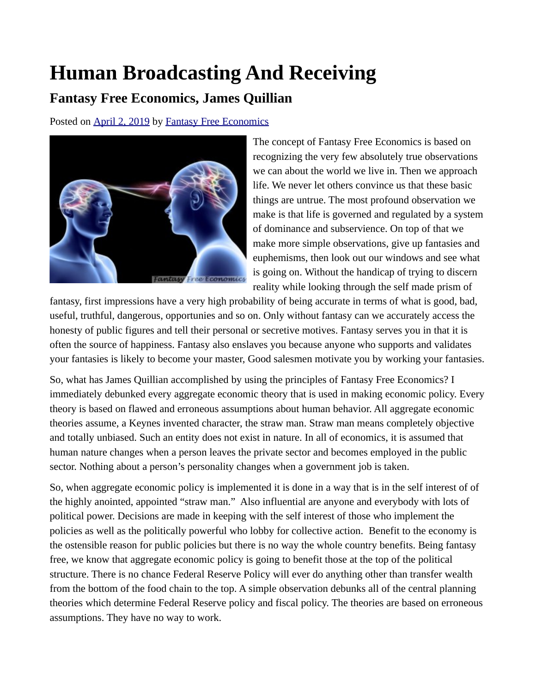## **Human Broadcasting And Receiving**

## **Fantasy Free Economics, James Quillian**

Posted on [April 2, 2019](http://quillian.net/blog/?p=6166) by [Fantasy Free Economics](http://quillian.net/blog/author/james-quillian/)



The concept of Fantasy Free Economics is based on recognizing the very few absolutely true observations we can about the world we live in. Then we approach life. We never let others convince us that these basic things are untrue. The most profound observation we make is that life is governed and regulated by a system of dominance and subservience. On top of that we make more simple observations, give up fantasies and euphemisms, then look out our windows and see what is going on. Without the handicap of trying to discern reality while looking through the self made prism of

fantasy, first impressions have a very high probability of being accurate in terms of what is good, bad, useful, truthful, dangerous, opportunies and so on. Only without fantasy can we accurately access the honesty of public figures and tell their personal or secretive motives. Fantasy serves you in that it is often the source of happiness. Fantasy also enslaves you because anyone who supports and validates your fantasies is likely to become your master, Good salesmen motivate you by working your fantasies.

So, what has James Quillian accomplished by using the principles of Fantasy Free Economics? I immediately debunked every aggregate economic theory that is used in making economic policy. Every theory is based on flawed and erroneous assumptions about human behavior. All aggregate economic theories assume, a Keynes invented character, the straw man. Straw man means completely objective and totally unbiased. Such an entity does not exist in nature. In all of economics, it is assumed that human nature changes when a person leaves the private sector and becomes employed in the public sector. Nothing about a person's personality changes when a government job is taken.

So, when aggregate economic policy is implemented it is done in a way that is in the self interest of of the highly anointed, appointed "straw man." Also influential are anyone and everybody with lots of political power. Decisions are made in keeping with the self interest of those who implement the policies as well as the politically powerful who lobby for collective action. Benefit to the economy is the ostensible reason for public policies but there is no way the whole country benefits. Being fantasy free, we know that aggregate economic policy is going to benefit those at the top of the political structure. There is no chance Federal Reserve Policy will ever do anything other than transfer wealth from the bottom of the food chain to the top. A simple observation debunks all of the central planning theories which determine Federal Reserve policy and fiscal policy. The theories are based on erroneous assumptions. They have no way to work.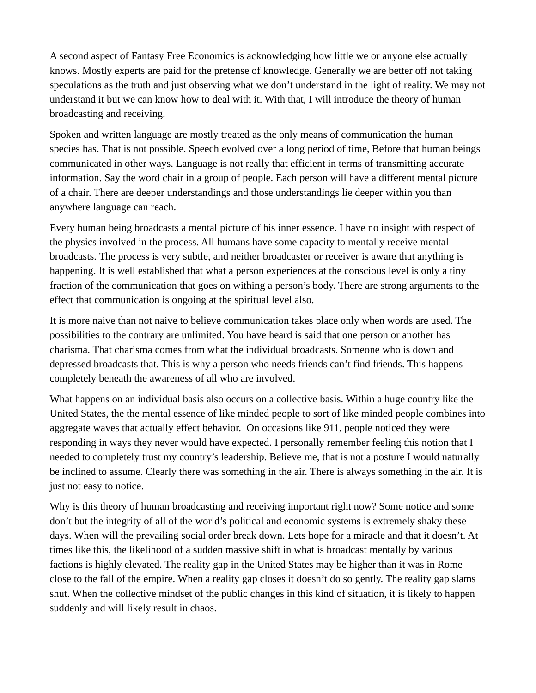A second aspect of Fantasy Free Economics is acknowledging how little we or anyone else actually knows. Mostly experts are paid for the pretense of knowledge. Generally we are better off not taking speculations as the truth and just observing what we don't understand in the light of reality. We may not understand it but we can know how to deal with it. With that, I will introduce the theory of human broadcasting and receiving.

Spoken and written language are mostly treated as the only means of communication the human species has. That is not possible. Speech evolved over a long period of time, Before that human beings communicated in other ways. Language is not really that efficient in terms of transmitting accurate information. Say the word chair in a group of people. Each person will have a different mental picture of a chair. There are deeper understandings and those understandings lie deeper within you than anywhere language can reach.

Every human being broadcasts a mental picture of his inner essence. I have no insight with respect of the physics involved in the process. All humans have some capacity to mentally receive mental broadcasts. The process is very subtle, and neither broadcaster or receiver is aware that anything is happening. It is well established that what a person experiences at the conscious level is only a tiny fraction of the communication that goes on withing a person's body. There are strong arguments to the effect that communication is ongoing at the spiritual level also.

It is more naive than not naive to believe communication takes place only when words are used. The possibilities to the contrary are unlimited. You have heard is said that one person or another has charisma. That charisma comes from what the individual broadcasts. Someone who is down and depressed broadcasts that. This is why a person who needs friends can't find friends. This happens completely beneath the awareness of all who are involved.

What happens on an individual basis also occurs on a collective basis. Within a huge country like the United States, the the mental essence of like minded people to sort of like minded people combines into aggregate waves that actually effect behavior. On occasions like 911, people noticed they were responding in ways they never would have expected. I personally remember feeling this notion that I needed to completely trust my country's leadership. Believe me, that is not a posture I would naturally be inclined to assume. Clearly there was something in the air. There is always something in the air. It is just not easy to notice.

Why is this theory of human broadcasting and receiving important right now? Some notice and some don't but the integrity of all of the world's political and economic systems is extremely shaky these days. When will the prevailing social order break down. Lets hope for a miracle and that it doesn't. At times like this, the likelihood of a sudden massive shift in what is broadcast mentally by various factions is highly elevated. The reality gap in the United States may be higher than it was in Rome close to the fall of the empire. When a reality gap closes it doesn't do so gently. The reality gap slams shut. When the collective mindset of the public changes in this kind of situation, it is likely to happen suddenly and will likely result in chaos.